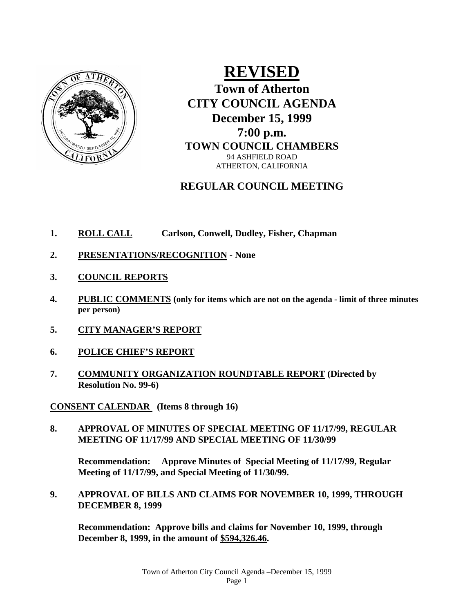

# **REVISED**

**Town of Atherton CITY COUNCIL AGENDA December 15, 1999 7:00 p.m.**

**TOWN COUNCIL CHAMBERS** 94 ASHFIELD ROAD ATHERTON, CALIFORNIA

# **REGULAR COUNCIL MEETING**

- **1. ROLL CALL Carlson, Conwell, Dudley, Fisher, Chapman**
- **2. PRESENTATIONS/RECOGNITION - None**
- **3. COUNCIL REPORTS**
- **4. PUBLIC COMMENTS (only for items which are not on the agenda - limit of three minutes per person)**
- **5. CITY MANAGER'S REPORT**
- **6. POLICE CHIEF'S REPORT**
- **7. COMMUNITY ORGANIZATION ROUNDTABLE REPORT (Directed by Resolution No. 99-6)**

**CONSENT CALENDAR (Items 8 through 16)**

**8. APPROVAL OF MINUTES OF SPECIAL MEETING OF 11/17/99, REGULAR MEETING OF 11/17/99 AND SPECIAL MEETING OF 11/30/99**

**Recommendation: Approve Minutes of Special Meeting of 11/17/99, Regular Meeting of 11/17/99, and Special Meeting of 11/30/99.**

**9. APPROVAL OF BILLS AND CLAIMS FOR NOVEMBER 10, 1999, THROUGH DECEMBER 8, 1999**

**Recommendation: Approve bills and claims for November 10, 1999, through December 8, 1999, in the amount of \$594,326.46.**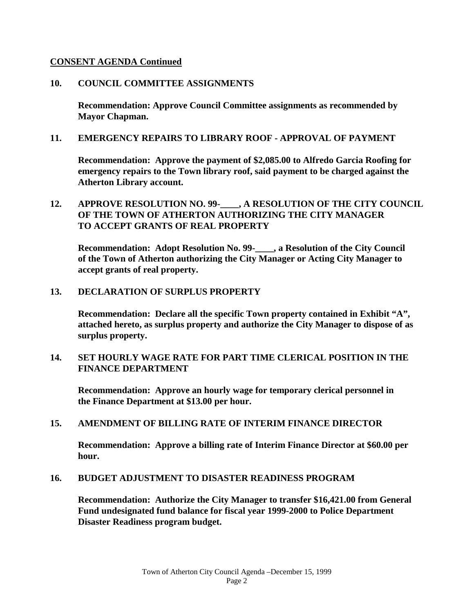#### **CONSENT AGENDA Continued**

#### **10. COUNCIL COMMITTEE ASSIGNMENTS**

**Recommendation: Approve Council Committee assignments as recommended by Mayor Chapman.**

#### **11. EMERGENCY REPAIRS TO LIBRARY ROOF - APPROVAL OF PAYMENT**

**Recommendation: Approve the payment of \$2,085.00 to Alfredo Garcia Roofing for emergency repairs to the Town library roof, said payment to be charged against the Atherton Library account.**

### **12. APPROVE RESOLUTION NO. 99-\_\_\_\_, A RESOLUTION OF THE CITY COUNCIL OF THE TOWN OF ATHERTON AUTHORIZING THE CITY MANAGER TO ACCEPT GRANTS OF REAL PROPERTY**

**Recommendation: Adopt Resolution No. 99-\_\_\_\_, a Resolution of the City Council of the Town of Atherton authorizing the City Manager or Acting City Manager to accept grants of real property.**

#### **13. DECLARATION OF SURPLUS PROPERTY**

**Recommendation: Declare all the specific Town property contained in Exhibit "A", attached hereto, as surplus property and authorize the City Manager to dispose of as surplus property.**

#### **14. SET HOURLY WAGE RATE FOR PART TIME CLERICAL POSITION IN THE FINANCE DEPARTMENT**

**Recommendation: Approve an hourly wage for temporary clerical personnel in the Finance Department at \$13.00 per hour.**

#### **15. AMENDMENT OF BILLING RATE OF INTERIM FINANCE DIRECTOR**

**Recommendation: Approve a billing rate of Interim Finance Director at \$60.00 per hour.**

#### **16. BUDGET ADJUSTMENT TO DISASTER READINESS PROGRAM**

**Recommendation: Authorize the City Manager to transfer \$16,421.00 from General Fund undesignated fund balance for fiscal year 1999-2000 to Police Department Disaster Readiness program budget.**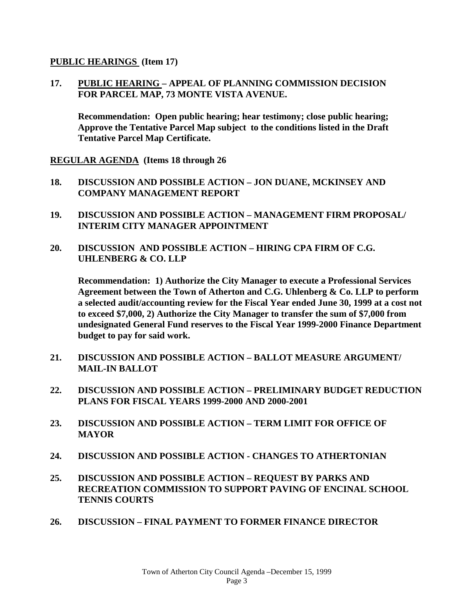#### **PUBLIC HEARINGS (Item 17)**

**17. PUBLIC HEARING – APPEAL OF PLANNING COMMISSION DECISION FOR PARCEL MAP, 73 MONTE VISTA AVENUE.**

**Recommendation: Open public hearing; hear testimony; close public hearing; Approve the Tentative Parcel Map subject to the conditions listed in the Draft Tentative Parcel Map Certificate.**

**REGULAR AGENDA (Items 18 through 26**

- **18. DISCUSSION AND POSSIBLE ACTION – JON DUANE, MCKINSEY AND COMPANY MANAGEMENT REPORT**
- **19. DISCUSSION AND POSSIBLE ACTION – MANAGEMENT FIRM PROPOSAL/ INTERIM CITY MANAGER APPOINTMENT**
- **20. DISCUSSION AND POSSIBLE ACTION – HIRING CPA FIRM OF C.G. UHLENBERG & CO. LLP**

**Recommendation: 1) Authorize the City Manager to execute a Professional Services Agreement between the Town of Atherton and C.G. Uhlenberg & Co. LLP to perform a selected audit/accounting review for the Fiscal Year ended June 30, 1999 at a cost not to exceed \$7,000, 2) Authorize the City Manager to transfer the sum of \$7,000 from undesignated General Fund reserves to the Fiscal Year 1999-2000 Finance Department budget to pay for said work.**

- **21. DISCUSSION AND POSSIBLE ACTION – BALLOT MEASURE ARGUMENT/ MAIL-IN BALLOT**
- **22. DISCUSSION AND POSSIBLE ACTION – PRELIMINARY BUDGET REDUCTION PLANS FOR FISCAL YEARS 1999-2000 AND 2000-2001**
- **23. DISCUSSION AND POSSIBLE ACTION – TERM LIMIT FOR OFFICE OF MAYOR**
- **24. DISCUSSION AND POSSIBLE ACTION - CHANGES TO ATHERTONIAN**
- **25. DISCUSSION AND POSSIBLE ACTION – REQUEST BY PARKS AND RECREATION COMMISSION TO SUPPORT PAVING OF ENCINAL SCHOOL TENNIS COURTS**
- **26. DISCUSSION – FINAL PAYMENT TO FORMER FINANCE DIRECTOR**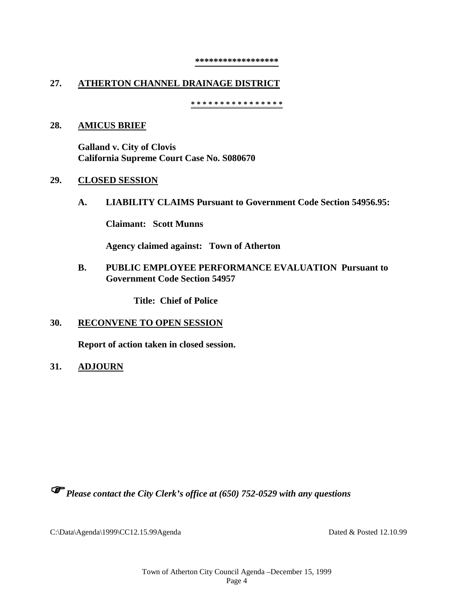#### **\*\*\*\*\*\*\*\*\*\*\*\*\*\*\*\*\*\***

## **27. ATHERTON CHANNEL DRAINAGE DISTRICT**

**\* \* \* \* \* \* \* \* \* \* \* \* \* \* \* \***

#### **28. AMICUS BRIEF**

**Galland v. City of Clovis California Supreme Court Case No. S080670**

#### **29. CLOSED SESSION**

**A. LIABILITY CLAIMS Pursuant to Government Code Section 54956.95:**

**Claimant: Scott Munns**

**Agency claimed against: Town of Atherton**

#### **B. PUBLIC EMPLOYEE PERFORMANCE EVALUATION Pursuant to Government Code Section 54957**

**Title: Chief of Police**

#### **30. RECONVENE TO OPEN SESSION**

**Report of action taken in closed session.**

**31. ADJOURN**

*Please contact the City Clerk's office at (650) 752-0529 with any questions*

C:\Data\Agenda\1999\CC12.15.99Agenda Dated & Posted 12.10.99